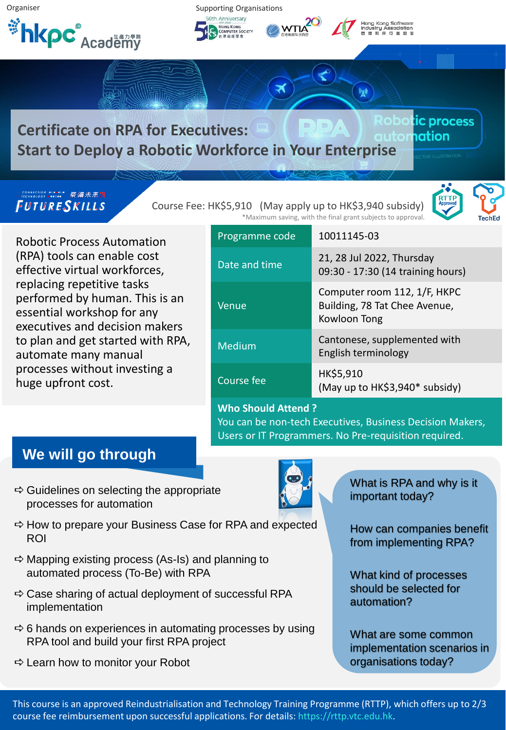

# **Certificate on RPA for Executives: Start to Deploy a Robotic Workforce in Your Enterprise**

### FUTURESKILLS

Course Fee: HK\$5,910 (May apply up to HK\$3,940 subsidy)

Robotic Process Automation (RPA) tools can enable cost effective virtual workforces, replacing repetitive tasks performed by human. This is an essential workshop for any executives and decision makers to plan and get started with RPA, automate many manual processes without investing a huge upfront cost.

| *Maximum saving, with the final grant subjects to approval. |                                                                               | Tecl |
|-------------------------------------------------------------|-------------------------------------------------------------------------------|------|
| Programme code                                              | 10011145-03                                                                   |      |
| Date and time                                               | 21, 28 Jul 2022, Thursday<br>09:30 - 17:30 (14 training hours)                |      |
| Venue                                                       | Computer room 112, 1/F, HKPC<br>Building, 78 Tat Chee Avenue,<br>Kowloon Tong |      |
| Medium                                                      | Cantonese, supplemented with<br>English terminology                           |      |
| Course fee                                                  | HK\$5,910<br>(May up to HK\$3,940* subsidy)                                   |      |
| <b>Who Should Attend?</b>                                   |                                                                               |      |

## **Who Should Attend ?**

You can be non-tech Executives, Business Decision Makers, Users or IT Programmers. No Pre-requisition required.

## **We will go through**

- $\Rightarrow$  Guidelines on selecting the appropriate processes for automation
- $\Rightarrow$  How to prepare your Business Case for RPA and expected ROI
- $\Rightarrow$  Mapping existing process (As-Is) and planning to automated process (To-Be) with RPA
- $\Rightarrow$  Case sharing of actual deployment of successful RPA implementation
- $\Rightarrow$  6 hands on experiences in automating processes by using RPA tool and build your first RPA project
- $\Rightarrow$  Learn how to monitor your Robot



ic process

**nation** 

How can companies benefit from implementing RPA?

What kind of processes should be selected for automation?

What are some common implementation scenarios in organisations today?